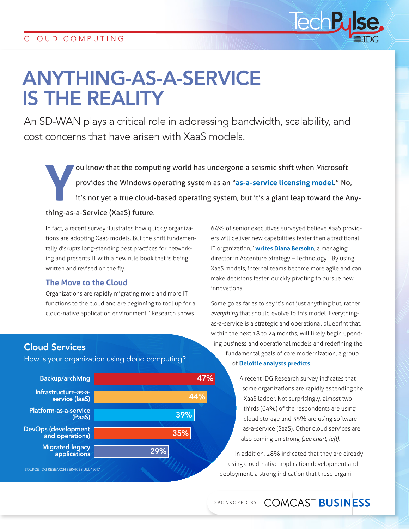# ANYTHING-AS-A-SERVICE IS THE REALITY

An SD-WAN plays a critical role in addressing bandwidth, scalability, and cost concerns that have arisen with XaaS models.

The values of the computing world has undergone a seismic shift when Microsoft<br>provides the Windows operating system as an "**as-a-service licensing model**." No<br>it's not yet a true cloud-based operating system, but it's a g provides the Windows operating system as an "**[as-a-service licensing model](https://docs.microsoft.com/en-us/windows/deployment/update/waas-overview)**." No, it's not yet a true cloud-based operating system, but it's a giant leap toward the Anything-as-a-Service (XaaS) future.

In fact, a recent survey illustrates how quickly organizations are adopting XaaS models. But the shift fundamentally disrupts long-standing best practices for networking and presents IT with a new rule book that is being written and revised on the fly.

#### **The Move to the Cloud**

Organizations are rapidly migrating more and more IT functions to the cloud and are beginning to tool up for a cloud-native application environment. "Research shows

64% of senior executives surveyed believe XaaS providers will deliver new capabilities faster than a traditional IT organization," **[writes Diana Bersohn](https://www.cio.com/article/3164190/it-industry/how-to-succeed-in-an-as-a-service-world.html)**, a managing director in Accenture Strategy – Technology. "By using XaaS models, internal teams become more agile and can make decisions faster, quickly pivoting to pursue new innovations."

lech

Some go as far as to say it's not just anything but, rather, *everything* that should evolve to this model. Everythingas-a-service is a strategic and operational blueprint that, within the next 18 to 24 months, will likely begin upending business and operational models and redefining the fundamental goals of core modernization, a group of **[Deloitte analysts predicts](https://dupress.deloitte.com/dup-us-en/focus/tech-trends/2017/everything-as-a-service.html)**.

> A recent IDG Research survey indicates that some organizations are rapidly ascending the XaaS ladder. Not surprisingly, almost twothirds (64%) of the respondents are using cloud storage and 55% are using softwareas-a-service (SaaS). Other cloud services are also coming on strong *(see chart, left)*.

In addition, 28% indicated that they are already using cloud-native application development and deployment, a strong indication that these organi-

# Cloud Services

How is your organization using cloud computing?

Backup/archiving Infrastructure-as-aservice (IaaS) Platform-as-a-service (PaaS) DevOps (development and operations) Migrated legacy applications 47% 44% 39% 35% 29% SOURCE: IDG RESEARCH SERVICES, JULY 2017

## SPONSORED BY COMCAST BUSINESS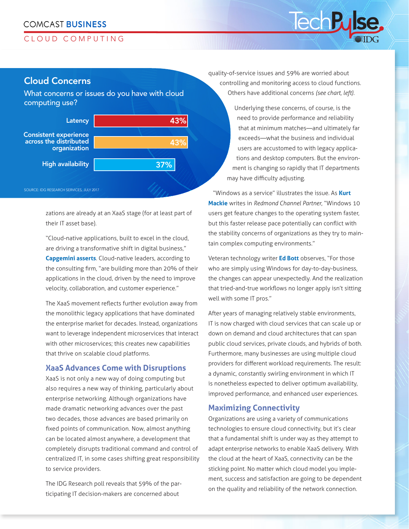#### **COMCAST BUSINESS**

#### CLOUD COMPUTING

#### Cloud Concerns

What concerns or issues do you have with cloud computing use?



zations are already at an XaaS stage (for at least part of their IT asset base).

"Cloud-native applications, built to excel in the cloud, are driving a transformative shift in digital business," **[Capgemini asserts](https://www.capgemini.com/service/cloud-services/cloud-native/)**. Cloud-native leaders, according to the consulting firm, "are building more than 20% of their applications in the cloud, driven by the need to improve velocity, collaboration, and customer experience."

The XaaS movement reflects further evolution away from the monolithic legacy applications that have dominated the enterprise market for decades. Instead, organizations want to leverage independent microservices that interact with other microservices; this creates new capabilities that thrive on scalable cloud platforms.

#### **XaaS Advances Come with Disruptions**

XaaS is not only a new way of doing computing but also requires a new way of thinking, particularly about enterprise networking. Although organizations have made dramatic networking advances over the past two decades, those advances are based primarily on fixed points of communication. Now, almost anything can be located almost anywhere, a development that completely disrupts traditional command and control of centralized IT, in some cases shifting great responsibility to service providers.

The IDG Research poll reveals that 59% of the participating IT decision-makers are concerned about

quality-of-service issues and 59% are worried about controlling and monitoring access to cloud functions. Others have additional concerns *(see chart, left)*.

lech

Underlying these concerns, of course, is the need to provide performance and reliability that at minimum matches—and ultimately far exceeds—what the business and individual users are accustomed to with legacy applications and desktop computers. But the environment is changing so rapidly that IT departments may have difficulty adjusting.

"Windows as a service" illustrates the issue. As **[Kurt](https://rcpmag.com/articles/2017/05/10/windows-as-a-service-changes.aspx)  [Mackie](https://rcpmag.com/articles/2017/05/10/windows-as-a-service-changes.aspx)** writes in *Redmond Channel Partner*, "Windows 10 users get feature changes to the operating system faster, but this faster release pace potentially can conflict with the stability concerns of organizations as they try to maintain complex computing environments."

Veteran technology writer **[Ed Bott](http://www.zdnet.com/article/windows-as-a-service-means-big-painful-changes-for-it-pros/)** observes, "For those who are simply using Windows for day-to-day-business, the changes can appear unexpectedly. And the realization that tried-and-true workflows no longer apply isn't sitting well with some IT pros."

After years of managing relatively stable environments, IT is now charged with cloud services that can scale up or down on demand and cloud architectures that can span public cloud services, private clouds, and hybrids of both. Furthermore, many businesses are using multiple cloud providers for different workload requirements. The result: a dynamic, constantly swirling environment in which IT is nonetheless expected to deliver optimum availability, improved performance, and enhanced user experiences.

#### **Maximizing Connectivity**

Organizations are using a variety of communications technologies to ensure cloud connectivity, but it's clear that a fundamental shift is under way as they attempt to adapt enterprise networks to enable XaaS delivery. With the cloud at the heart of XaaS, connectivity can be the sticking point. No matter which cloud model you implement, success and satisfaction are going to be dependent on the quality and reliability of the network connection.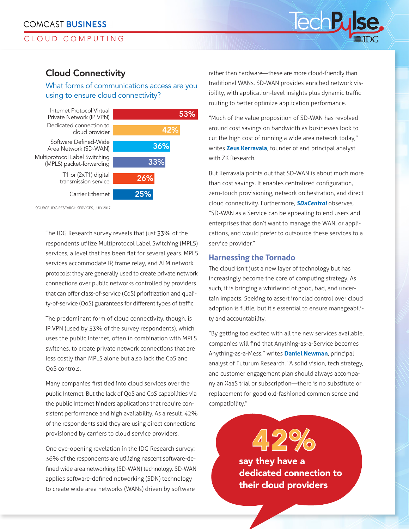#### CLOUD COMPUTING

## Cloud Connectivity

#### What forms of communications access are you using to ensure cloud connectivity?



SOURCE: IDG RESEARCH SERVICES, JULY 2017

The IDG Research survey reveals that just 33% of the respondents utilize Multiprotocol Label Switching (MPLS) services, a level that has been flat for several years. MPLS services accommodate IP, frame relay, and ATM network protocols; they are generally used to create private network connections over public networks controlled by providers that can offer class-of-service (CoS) prioritization and quality-of-service (QoS) guarantees for different types of traffic.

The predominant form of cloud connectivity, though, is IP VPN (used by 53% of the survey respondents), which uses the public Internet, often in combination with MPLS switches, to create private network connections that are less costly than MPLS alone but also lack the CoS and QoS controls.

Many companies first tied into cloud services over the public Internet. But the lack of QoS and CoS capabilities via the public Internet hinders applications that require consistent performance and high availability. As a result, 42% of the respondents said they are using direct connections provisioned by carriers to cloud service providers.

One eye-opening revelation in the IDG Research survey: 36% of the respondents are utilizing nascent software-defined wide area networking (SD-WAN) technology. SD-WAN applies software-defined networking (SDN) technology to create wide area networks (WANs) driven by software

rather than hardware—these are more cloud-friendly than traditional WANs. SD-WAN provides enriched network visibility, with application-level insights plus dynamic traffic routing to better optimize application performance.

lech

"Much of the value proposition of SD-WAN has revolved around cost savings on bandwidth as businesses look to cut the high cost of running a wide area network today," writes **[Zeus Kerravala](http://www.nojitter.com/post/240172529/sdwan-value-more-than-cost-savings)**, founder of and principal analyst with ZK Research.

But Kerravala points out that SD-WAN is about much more than cost savings. It enables centralized configuration, zero-touch provisioning, network orchestration, and direct cloud connectivity. Furthermore, *[SDxCentral](https://www.sdxcentral.com/sd-wan/definitions/sd-wan-service/)* observes, "SD-WAN as a Service can be appealing to end users and enterprises that don't want to manage the WAN, or applications, and would prefer to outsource these services to a service provider."

#### **Harnessing the Tornado**

The cloud isn't just a new layer of technology but has increasingly become the core of computing strategy. As such, it is bringing a whirlwind of good, bad, and uncertain impacts. Seeking to assert ironclad control over cloud adoption is futile, but it's essential to ensure manageability and accountability.

"By getting too excited with all the new services available, companies will find that Anything-as-a-Service becomes Anything-as-a-Mess," writes **[Daniel Newman](http://diginomica.com/2017/07/21/cxo-guide-surviving-as-a-service-revolution/)**, principal analyst of Futurum Research. "A solid vision, tech strategy, and customer engagement plan should always accompany an XaaS trial or subscription—there is no substitute or replacement for good old-fashioned common sense and compatibility."

> say they have a dedicated connection to their cloud providers

42%